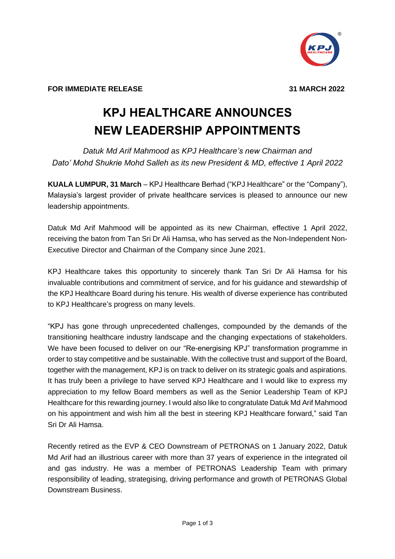

## **KPJ HEALTHCARE ANNOUNCES NEW LEADERSHIP APPOINTMENTS**

*Datuk Md Arif Mahmood as KPJ Healthcare's new Chairman and Dato' Mohd Shukrie Mohd Salleh as its new President & MD, effective 1 April 2022*

**KUALA LUMPUR, 31 March** – KPJ Healthcare Berhad ("KPJ Healthcare" or the "Company"), Malaysia's largest provider of private healthcare services is pleased to announce our new leadership appointments.

Datuk Md Arif Mahmood will be appointed as its new Chairman, effective 1 April 2022, receiving the baton from Tan Sri Dr Ali Hamsa, who has served as the Non-Independent Non-Executive Director and Chairman of the Company since June 2021.

KPJ Healthcare takes this opportunity to sincerely thank Tan Sri Dr Ali Hamsa for his invaluable contributions and commitment of service, and for his guidance and stewardship of the KPJ Healthcare Board during his tenure. His wealth of diverse experience has contributed to KPJ Healthcare's progress on many levels.

"KPJ has gone through unprecedented challenges, compounded by the demands of the transitioning healthcare industry landscape and the changing expectations of stakeholders. We have been focused to deliver on our "Re-energising KPJ" transformation programme in order to stay competitive and be sustainable. With the collective trust and support of the Board, together with the management, KPJ is on track to deliver on its strategic goals and aspirations. It has truly been a privilege to have served KPJ Healthcare and I would like to express my appreciation to my fellow Board members as well as the Senior Leadership Team of KPJ Healthcare for this rewarding journey. I would also like to congratulate Datuk Md Arif Mahmood on his appointment and wish him all the best in steering KPJ Healthcare forward," said Tan Sri Dr Ali Hamsa.

Recently retired as the EVP & CEO Downstream of PETRONAS on 1 January 2022, Datuk Md Arif had an illustrious career with more than 37 years of experience in the integrated oil and gas industry. He was a member of PETRONAS Leadership Team with primary responsibility of leading, strategising, driving performance and growth of PETRONAS Global Downstream Business.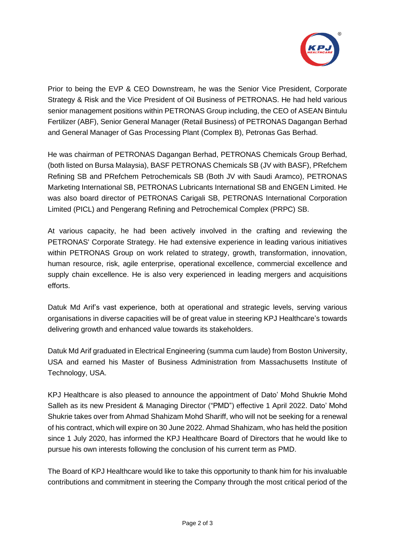

Prior to being the EVP & CEO Downstream, he was the Senior Vice President, Corporate Strategy & Risk and the Vice President of Oil Business of PETRONAS. He had held various senior management positions within PETRONAS Group including, the CEO of ASEAN Bintulu Fertilizer (ABF), Senior General Manager (Retail Business) of PETRONAS Dagangan Berhad and General Manager of Gas Processing Plant (Complex B), Petronas Gas Berhad.

He was chairman of PETRONAS Dagangan Berhad, PETRONAS Chemicals Group Berhad, (both listed on Bursa Malaysia), BASF PETRONAS Chemicals SB (JV with BASF), PRefchem Refining SB and PRefchem Petrochemicals SB (Both JV with Saudi Aramco), PETRONAS Marketing International SB, PETRONAS Lubricants International SB and ENGEN Limited. He was also board director of PETRONAS Carigali SB, PETRONAS International Corporation Limited (PICL) and Pengerang Refining and Petrochemical Complex (PRPC) SB.

At various capacity, he had been actively involved in the crafting and reviewing the PETRONAS' Corporate Strategy. He had extensive experience in leading various initiatives within PETRONAS Group on work related to strategy, growth, transformation, innovation, human resource, risk, agile enterprise, operational excellence, commercial excellence and supply chain excellence. He is also very experienced in leading mergers and acquisitions efforts.

Datuk Md Arif's vast experience, both at operational and strategic levels, serving various organisations in diverse capacities will be of great value in steering KPJ Healthcare's towards delivering growth and enhanced value towards its stakeholders.

Datuk Md Arif graduated in Electrical Engineering (summa cum laude) from Boston University, USA and earned his Master of Business Administration from Massachusetts Institute of Technology, USA.

KPJ Healthcare is also pleased to announce the appointment of Dato' Mohd Shukrie Mohd Salleh as its new President & Managing Director ("PMD") effective 1 April 2022. Dato' Mohd Shukrie takes over from Ahmad Shahizam Mohd Shariff, who will not be seeking for a renewal of his contract, which will expire on 30 June 2022. Ahmad Shahizam, who has held the position since 1 July 2020, has informed the KPJ Healthcare Board of Directors that he would like to pursue his own interests following the conclusion of his current term as PMD.

The Board of KPJ Healthcare would like to take this opportunity to thank him for his invaluable contributions and commitment in steering the Company through the most critical period of the